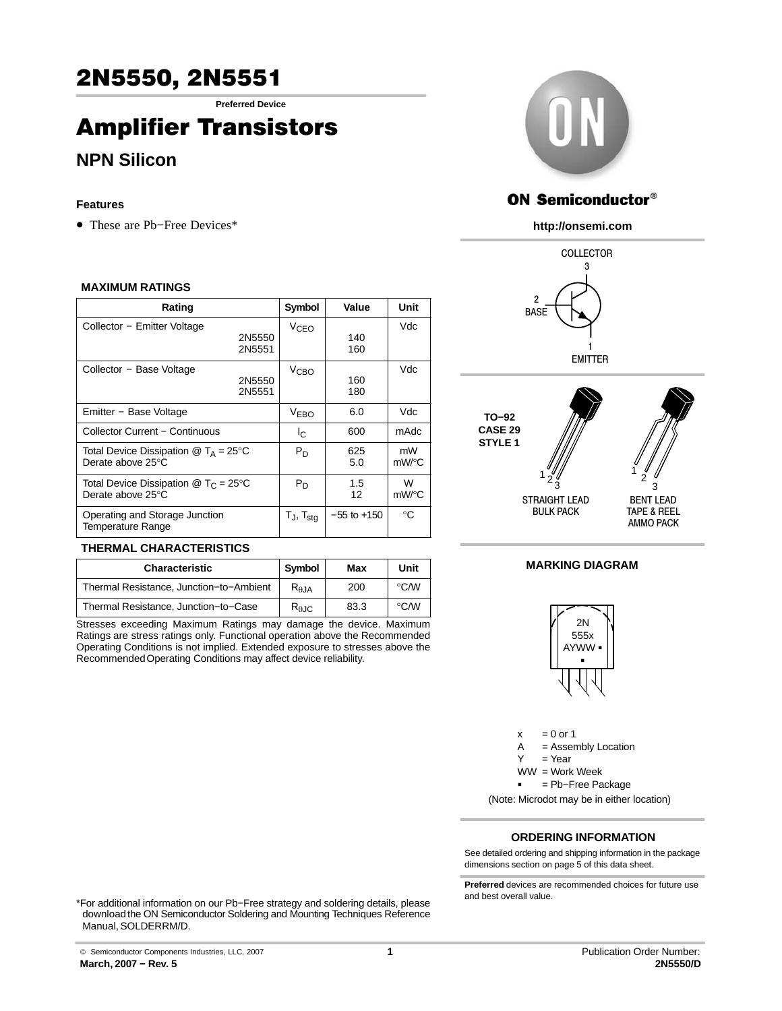**Preferred Device**

# Amplifier Transistors

# **NPN Silicon**

## **Features**

• These are Pb−Free Devices\*

### **MAXIMUM RATINGS**

| Rating                                                                  |                  | Symbol                   | Value           | Unit        |
|-------------------------------------------------------------------------|------------------|--------------------------|-----------------|-------------|
| Collector - Emitter Voltage                                             | 2N5550<br>2N5551 | V <sub>CEO</sub>         | 140<br>160      | Vdc         |
| Collector - Base Voltage                                                | 2N5550<br>2N5551 | <b>V<sub>CВО</sub></b>   | 160<br>180      | Vdc         |
| Emitter - Base Voltage                                                  |                  | <b>V<sub>EBO</sub></b>   | 6.0             | Vdc         |
| Collector Current - Continuous                                          |                  | I <sub>C</sub>           | 600             | mAdc        |
| Total Device Dissipation $@T_A = 25^\circ C$<br>Derate above 25°C       |                  | $P_D$                    | 625<br>5.0      | mW<br>mW/°C |
| Total Device Dissipation $@$ T <sub>C</sub> = 25°C<br>Derate above 25°C |                  | $P_D$                    | 1.5<br>12       | W<br>mW/°C  |
| Operating and Storage Junction<br>Temperature Range                     |                  | $T_J$ , $T_{\text{stq}}$ | $-55$ to $+150$ | $^{\circ}C$ |

## **THERMAL CHARACTERISTICS**

| <b>Characteristic</b>                   | Symbol          | Max  | Unit          |
|-----------------------------------------|-----------------|------|---------------|
| Thermal Resistance, Junction-to-Ambient | $R_{\theta,JA}$ | 200  | $\degree$ C/W |
| Thermal Resistance, Junction-to-Case    | $R_{\theta$ JC  | 83.3 | $\degree$ C/W |

Stresses exceeding Maximum Ratings may damage the device. Maximum Ratings are stress ratings only. Functional operation above the Recommended Operating Conditions is not implied. Extended exposure to stresses above the Recommended Operating Conditions may affect device reliability.



## **ON Semiconductor®**

### **http://onsemi.com**





## **MARKING DIAGRAM**



 $x = 0$  or 1 A = Assembly Location  $Y = Year$ WW = Work Week -= Pb−Free Package

(Note: Microdot may be in either location)

## **ORDERING INFORMATION**

See detailed ordering and shipping information in the package dimensions section on page [5 of this data sheet.](#page-4-0)

**Preferred** devices are recommended choices for future use and best overall value.

\*For additional information on our Pb−Free strategy and soldering details, please download the ON Semiconductor Soldering and Mounting Techniques Reference Manual, SOLDERRM/D.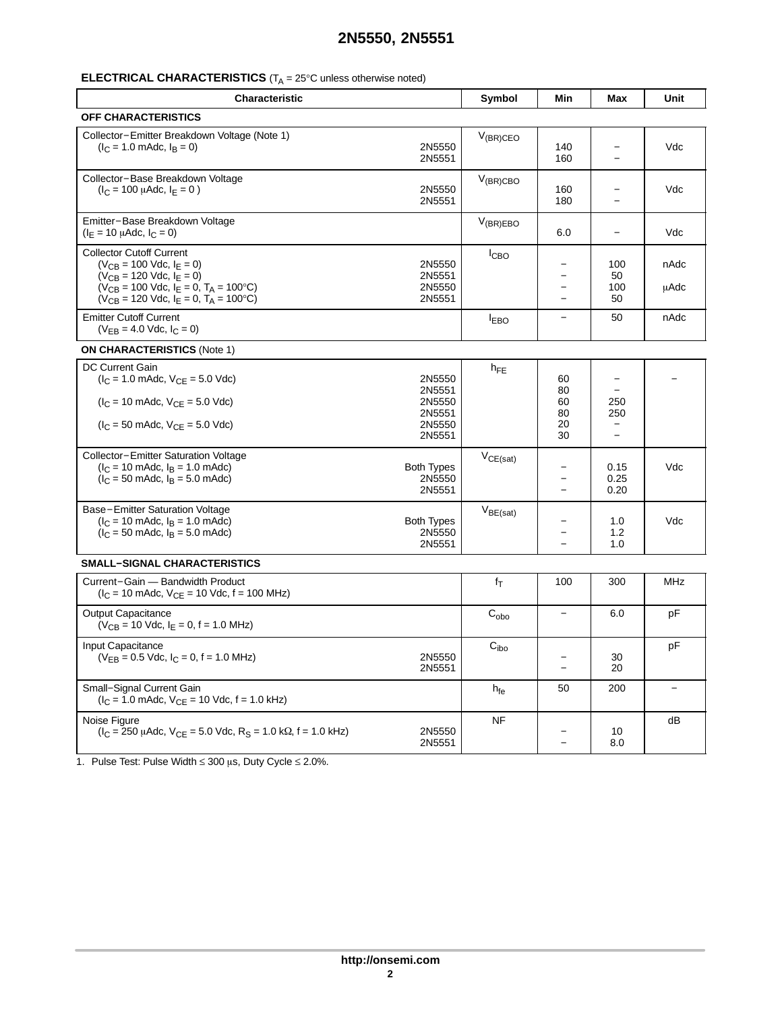## **ELECTRICAL CHARACTERISTICS** (T<sub>A</sub> = 25°C unless otherwise noted)

| Characteristic                                                                                                                                                                                                 |                                       | Symbol               | Min                                  | Max                                    | Unit         |
|----------------------------------------------------------------------------------------------------------------------------------------------------------------------------------------------------------------|---------------------------------------|----------------------|--------------------------------------|----------------------------------------|--------------|
| <b>OFF CHARACTERISTICS</b>                                                                                                                                                                                     |                                       |                      |                                      |                                        |              |
| Collector-Emitter Breakdown Voltage (Note 1)<br>$(I_C = 1.0 \text{ m}$ Adc, $I_B = 0$ )                                                                                                                        | 2N5550<br>2N5551                      | $V_{(BR)CEO}$        | 140<br>160                           |                                        | Vdc          |
| Collector-Base Breakdown Voltage<br>$(I_C = 100 \mu A d c, I_E = 0)$                                                                                                                                           | 2N5550<br>2N5551                      | $V_{(BR)CBO}$        | 160<br>180                           |                                        | Vdc          |
| Emitter-Base Breakdown Voltage<br>$(I_E = 10 \mu A d c, I_C = 0)$                                                                                                                                              |                                       | $V_{(BR)EBO}$        | 6.0                                  |                                        | Vdc          |
| <b>Collector Cutoff Current</b><br>$(V_{CB} = 100$ Vdc, $I_E = 0$ )<br>$(V_{CB} = 120$ Vdc, $I_E = 0)$<br>$(V_{CB} = 100$ Vdc, $I_E = 0$ , $T_A = 100$ °C)<br>$(V_{CB} = 120$ Vdc, $I_E = 0$ , $T_A = 100$ °C) | 2N5550<br>2N5551<br>2N5550<br>2N5551  | I <sub>CBO</sub>     | $\equiv$<br>$\overline{\phantom{0}}$ | 100<br>50<br>100<br>50                 | nAdc<br>uAdc |
| <b>Emitter Cutoff Current</b><br>$(V_{EB} = 4.0$ Vdc, $I_C = 0)$                                                                                                                                               |                                       | $I_{FBO}$            |                                      | 50                                     | nAdc         |
| <b>ON CHARACTERISTICS (Note 1)</b>                                                                                                                                                                             |                                       |                      |                                      |                                        |              |
| DC Current Gain<br>$(I_C = 1.0 \text{ m}$ Adc, $V_{CF} = 5.0 \text{ V}$ dc)                                                                                                                                    | 2N5550<br>2N5551                      | $h_{FE}$             | 60<br>80                             | $\overline{\phantom{0}}$               |              |
| $(I_C = 10 \text{ m}$ Adc, $V_{CE} = 5.0 \text{ V}$ dc)<br>$(I_C = 50 \text{ m}$ Adc, $V_{CE} = 5.0 \text{ V}$ dc)                                                                                             | 2N5550<br>2N5551<br>2N5550<br>2N5551  |                      | 60<br>80<br>20<br>30                 | 250<br>250<br>$\overline{\phantom{0}}$ |              |
| Collector-Emitter Saturation Voltage<br>$(l_C = 10 \text{ m}$ Adc, $l_B = 1.0 \text{ m}$ Adc)<br>$(l_C = 50 \text{ m}$ Adc, $l_B = 5.0 \text{ m}$ Adc)                                                         | <b>Both Types</b><br>2N5550<br>2N5551 | $V_{CE(sat)}$        |                                      | 0.15<br>0.25<br>0.20                   | Vdc          |
| Base-Emitter Saturation Voltage<br>$(I_C = 10 \text{ m}$ Adc, $I_B = 1.0 \text{ m}$ Adc)<br>$I_C = 50$ mAdc, $I_B = 5.0$ mAdc)                                                                                 | <b>Both Types</b><br>2N5550<br>2N5551 | $V_{BE(sat)}$        |                                      | 1.0<br>1.2<br>1.0                      | Vdc          |
| SMALL-SIGNAL CHARACTERISTICS                                                                                                                                                                                   |                                       |                      |                                      |                                        |              |
| Current-Gain - Bandwidth Product<br>$(I_C = 10 \text{ m}$ Adc, $V_{CE} = 10 \text{ V}$ dc, f = 100 MHz)                                                                                                        |                                       | $f_T$                | 100                                  | 300                                    | MHz          |
| <b>Output Capacitance</b><br>$(V_{CB} = 10$ Vdc, $I_E = 0$ , f = 1.0 MHz)                                                                                                                                      |                                       | $C_{\alpha b\alpha}$ |                                      | 6.0                                    | pF           |
| Input Capacitance<br>$(V_{EB} = 0.5$ Vdc, $I_C = 0$ , f = 1.0 MHz)                                                                                                                                             | 2N5550<br>2N5551                      | $C_{\text{ibo}}$     |                                      | 30<br>20                               | рF           |
| Small-Signal Current Gain<br>$(I_C = 1.0 \text{ m}$ Adc, $V_{CF} = 10 \text{ Vdc}$ , f = 1.0 kHz)                                                                                                              |                                       | h <sub>fe</sub>      | 50                                   | 200                                    |              |
| Noise Figure<br>$(I_C = 250 \mu A dC, V_{CE} = 5.0 \text{ V} dC, R_S = 1.0 \text{ k}\Omega, f = 1.0 \text{ kHz})$                                                                                              | 2N5550<br>2N5551                      | <b>NF</b>            |                                      | 10<br>8.0                              | dВ           |

1. Pulse Test: Pulse Width  $\leq 300$   $\mu$ s, Duty Cycle  $\leq 2.0\%$ .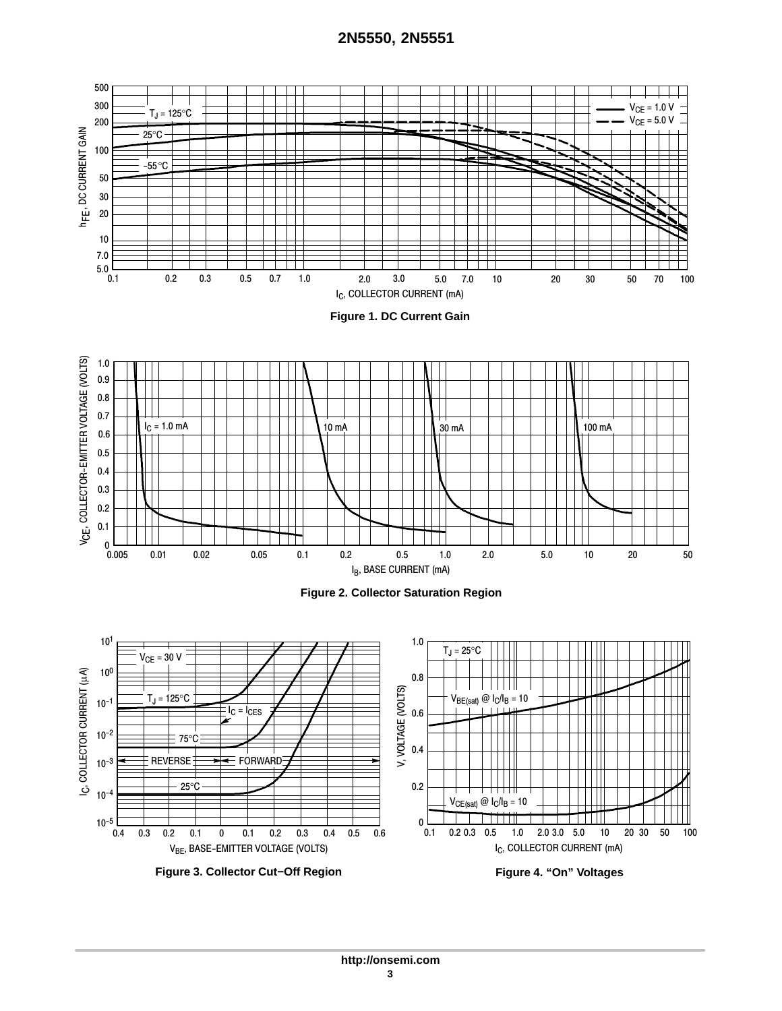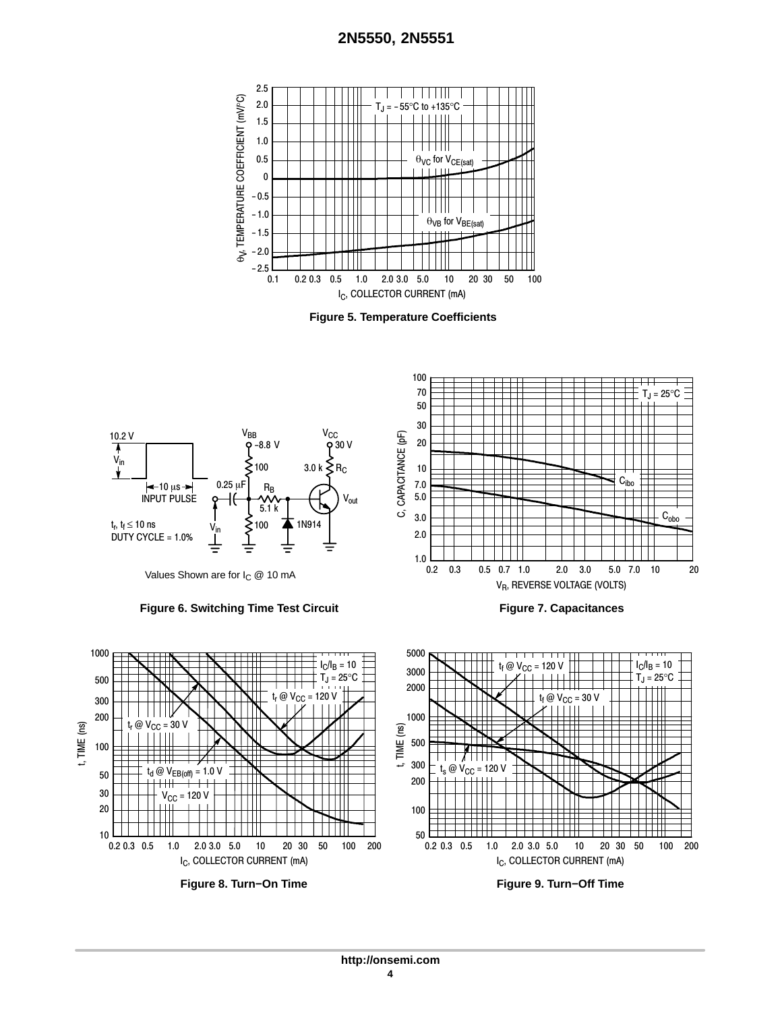





Values Shown are for  $I_C \ @$  10 mA

### **Figure 6. Switching Time Test Circuit**



**Figure 7. Capacitances**

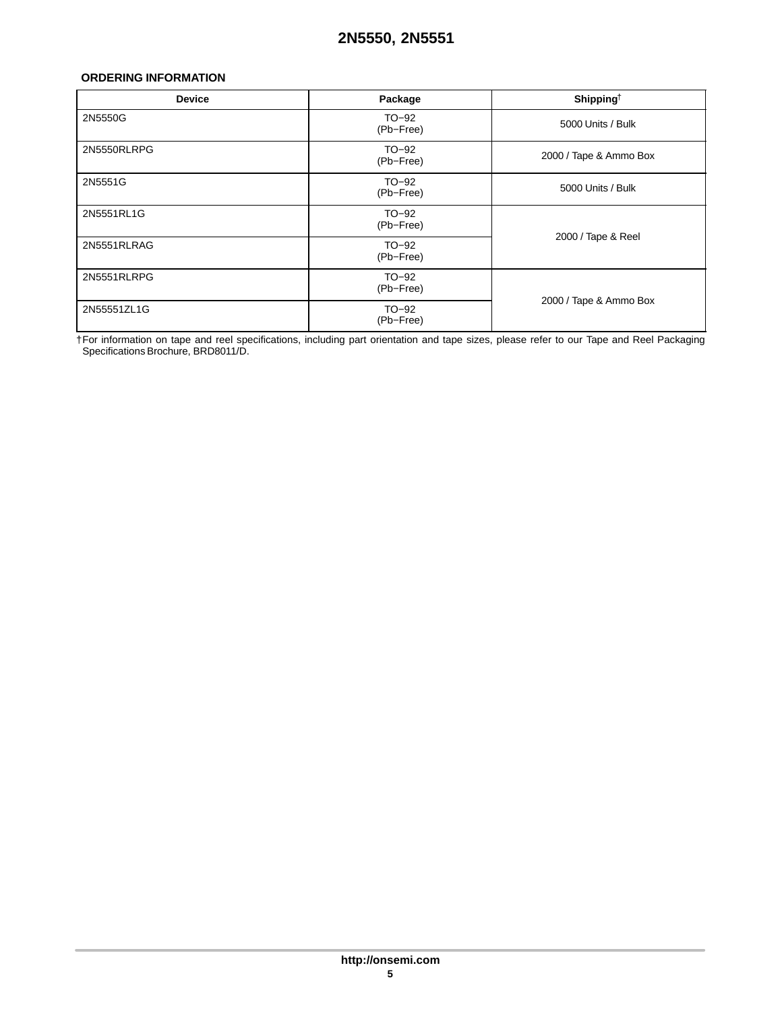## <span id="page-4-0"></span>**ORDERING INFORMATION**

| <b>Device</b> | Package              | Shipping <sup>†</sup>  |  |
|---------------|----------------------|------------------------|--|
| 2N5550G       | $TO-92$<br>(Pb-Free) | 5000 Units / Bulk      |  |
| 2N5550RLRPG   | TO-92<br>(Pb-Free)   | 2000 / Tape & Ammo Box |  |
| 2N5551G       | TO-92<br>(Pb-Free)   | 5000 Units / Bulk      |  |
| 2N5551RL1G    | TO-92<br>(Pb-Free)   | 2000 / Tape & Reel     |  |
| 2N5551RLRAG   | $TO-92$<br>(Pb-Free) |                        |  |
| 2N5551RLRPG   | $TO-92$<br>(Pb-Free) | 2000 / Tape & Ammo Box |  |
| 2N55551ZL1G   | $TO-92$<br>(Pb-Free) |                        |  |

†For information on tape and reel specifications, including part orientation and tape sizes, please refer to our Tape and Reel Packaging Specifications Brochure, BRD8011/D.